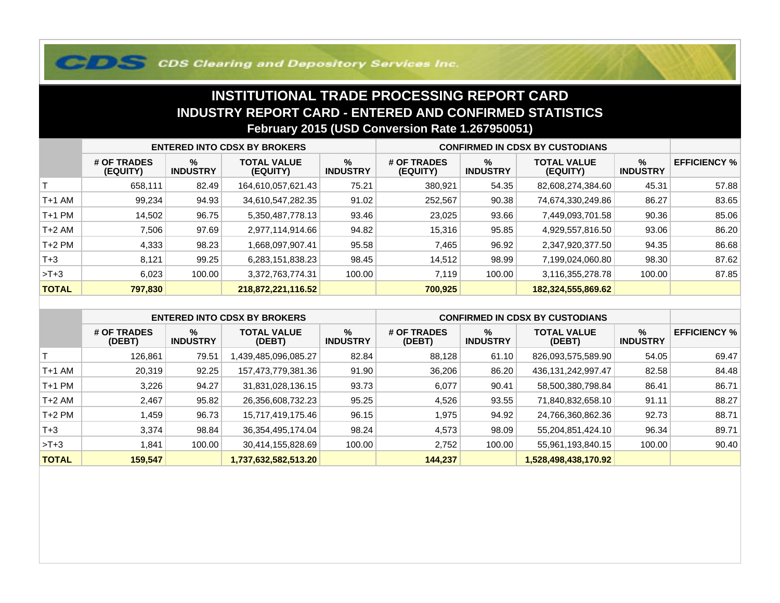## **COS Clearing and Depository Services Inc.**

## **INSTITUTIONAL TRADE PROCESSING REPORT CARD INDUSTRY REPORT CARD - ENTERED AND CONFIRMED STATISTICSFebruary 2015 (USD Conversion Rate 1.267950051)**

|              | <b>ENTERED INTO CDSX BY BROKERS</b> |                         |                                |                         | <b>CONFIRMED IN CDSX BY CUSTODIANS</b> |                         |                                |                      |                     |
|--------------|-------------------------------------|-------------------------|--------------------------------|-------------------------|----------------------------------------|-------------------------|--------------------------------|----------------------|---------------------|
|              | # OF TRADES<br>(EQUITY)             | $\%$<br><b>INDUSTRY</b> | <b>TOTAL VALUE</b><br>(EQUITY) | $\%$<br><b>INDUSTRY</b> | # OF TRADES<br>(EQUITY)                | $\%$<br><b>INDUSTRY</b> | <b>TOTAL VALUE</b><br>(EQUITY) | %<br><b>INDUSTRY</b> | <b>EFFICIENCY %</b> |
|              | 658,111                             | 82.49                   | 164,610,057,621.43             | 75.21                   | 380,921                                | 54.35                   | 82,608,274,384.60              | 45.31                | 57.88               |
| T+1 AM       | 99,234                              | 94.93                   | 34,610,547,282.35              | 91.02                   | 252,567                                | 90.38                   | 74,674,330,249.86              | 86.27                | 83.65               |
| T+1 PM       | 14,502                              | 96.75                   | 5,350,487,778.13               | 93.46                   | 23,025                                 | 93.66                   | 7,449,093,701.58               | 90.36                | 85.06               |
| T+2 AM       | 7,506                               | 97.69                   | 2,977,114,914.66               | 94.82                   | 15,316                                 | 95.85                   | 4,929,557,816.50               | 93.06                | 86.20               |
| $T+2$ PM     | 4,333                               | 98.23                   | .668,097,907.41                | 95.58                   | 7,465                                  | 96.92                   | 2,347,920,377.50               | 94.35                | 86.68               |
| $T+3$        | 8.121                               | 99.25                   | 6,283,151,838.23               | 98.45                   | 14,512                                 | 98.99                   | 7,199,024,060.80               | 98.30                | 87.62               |
| $>T+3$       | 6,023                               | 100.00                  | 3,372,763,774.31               | 100.00                  | 7.119                                  | 100.00                  | 3,116,355,278.78               | 100.00               | 87.85               |
| <b>TOTAL</b> | 797,830                             |                         | 218,872,221,116.52             |                         | 700,925                                |                         | 182,324,555,869.62             |                      |                     |

|              | <b>ENTERED INTO CDSX BY BROKERS</b> |                      |                              |                         | <b>CONFIRMED IN CDSX BY CUSTODIANS</b> |                         |                              |                         |                     |
|--------------|-------------------------------------|----------------------|------------------------------|-------------------------|----------------------------------------|-------------------------|------------------------------|-------------------------|---------------------|
|              | # OF TRADES<br>(DEBT)               | %<br><b>INDUSTRY</b> | <b>TOTAL VALUE</b><br>(DEBT) | $\%$<br><b>INDUSTRY</b> | # OF TRADES<br>(DEBT)                  | $\%$<br><b>INDUSTRY</b> | <b>TOTAL VALUE</b><br>(DEBT) | $\%$<br><b>INDUSTRY</b> | <b>EFFICIENCY %</b> |
|              | 126.861                             | 79.51                | A39,485,096,085.27           | 82.84                   | 88,128                                 | 61.10                   | 826,093,575,589.90           | 54.05                   | 69.47               |
| $T+1$ AM     | 20,319                              | 92.25                | 157,473,779,381.36           | 91.90                   | 36,206                                 | 86.20                   | 436, 131, 242, 997. 47       | 82.58                   | 84.48               |
| $T+1$ PM     | 3,226                               | 94.27                | 31,831,028,136.15            | 93.73                   | 6,077                                  | 90.41                   | 58,500,380,798.84            | 86.41                   | 86.71               |
| $T+2$ AM     | 2,467                               | 95.82                | 26,356,608,732.23            | 95.25                   | 4,526                                  | 93.55                   | 71,840,832,658.10            | 91.11                   | 88.27               |
| $T+2$ PM     | 459. ا                              | 96.73                | 15,717,419,175.46            | 96.15                   | 1,975                                  | 94.92                   | 24,766,360,862.36            | 92.73                   | 88.71               |
| $T+3$        | 3.374                               | 98.84                | 36, 354, 495, 174.04         | 98.24                   | 4,573                                  | 98.09                   | 55,204,851,424.10            | 96.34                   | 89.71               |
| $>T+3$       | .841                                | 100.00               | 30,414,155,828.69            | 100.00                  | 2,752                                  | 100.00                  | 55,961,193,840.15            | 100.00                  | 90.40               |
| <b>TOTAL</b> | 159,547                             |                      | 1,737,632,582,513.20         |                         | 144,237                                |                         | 1,528,498,438,170.92         |                         |                     |